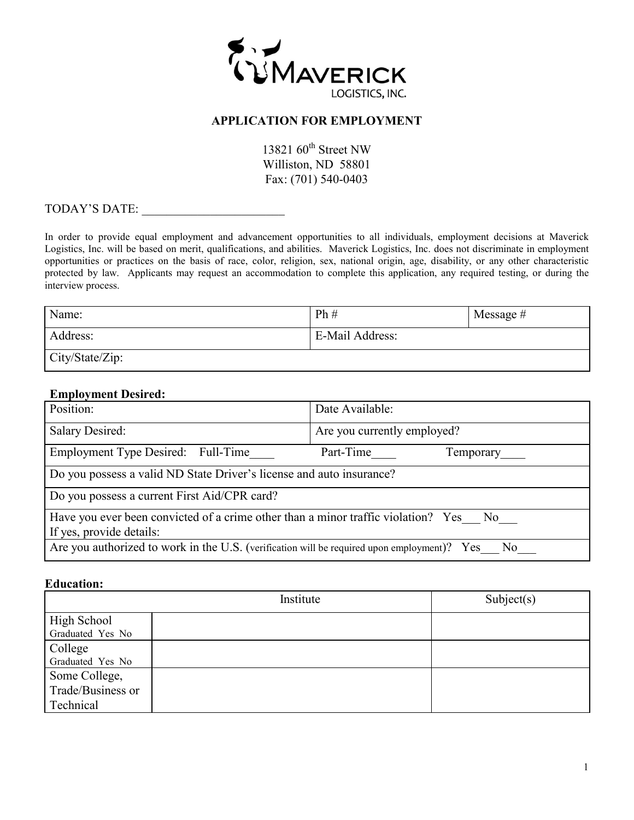

### **APPLICATION FOR EMPLOYMENT**

13821  $60^{\text{th}}$  Street NW Williston, ND 58801 Fax: (701) 540-0403

TODAY'S DATE: \_\_\_\_\_\_\_\_\_\_\_\_\_\_\_\_\_\_\_\_\_\_\_

In order to provide equal employment and advancement opportunities to all individuals, employment decisions at Maverick Logistics, Inc. will be based on merit, qualifications, and abilities. Maverick Logistics, Inc. does not discriminate in employment opportunities or practices on the basis of race, color, religion, sex, national origin, age, disability, or any other characteristic protected by law. Applicants may request an accommodation to complete this application, any required testing, or during the interview process.

| Name:           | Ph#             | Message $#$ |
|-----------------|-----------------|-------------|
| Address:        | E-Mail Address: |             |
| City/State/Zip: |                 |             |

#### **Employment Desired:**

| Position:                                                                                                        | Date Available:             |  |
|------------------------------------------------------------------------------------------------------------------|-----------------------------|--|
| <b>Salary Desired:</b>                                                                                           | Are you currently employed? |  |
| Employment Type Desired: Full-Time                                                                               | Part-Time<br>Temporary      |  |
| Do you possess a valid ND State Driver's license and auto insurance?                                             |                             |  |
| Do you possess a current First Aid/CPR card?                                                                     |                             |  |
| Have you ever been convicted of a crime other than a minor traffic violation? Yes No<br>If yes, provide details: |                             |  |
| Are you authorized to work in the U.S. (verification will be required upon employment)? Yes No                   |                             |  |

#### **Education:**

| Institute         |  | Subject(s) |
|-------------------|--|------------|
| High School       |  |            |
| Graduated Yes No  |  |            |
| College           |  |            |
| Graduated Yes No  |  |            |
| Some College,     |  |            |
| Trade/Business or |  |            |
| Technical         |  |            |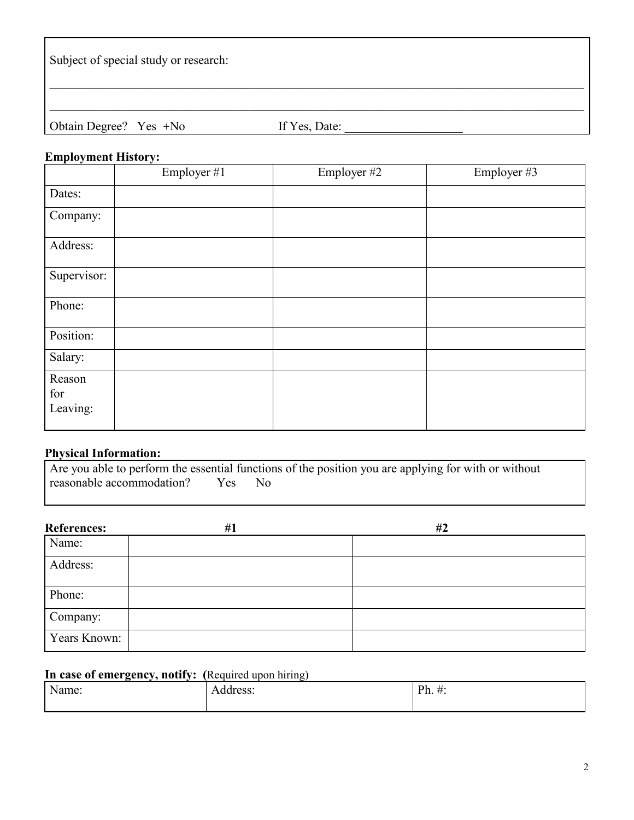Subject of special study or research:

Obtain Degree? Yes +No If Yes, Date:

 $\_$  , and the set of the set of the set of the set of the set of the set of the set of the set of the set of the set of the set of the set of the set of the set of the set of the set of the set of the set of the set of th

 $\_$  , and the set of the set of the set of the set of the set of the set of the set of the set of the set of the set of the set of the set of the set of the set of the set of the set of the set of the set of the set of th

# **Employment History:**

|                           | Employer #1 | Employer #2 | Employer #3 |
|---------------------------|-------------|-------------|-------------|
| Dates:                    |             |             |             |
| Company:                  |             |             |             |
| Address:                  |             |             |             |
| Supervisor:               |             |             |             |
| Phone:                    |             |             |             |
| Position:                 |             |             |             |
| Salary:                   |             |             |             |
| Reason<br>for<br>Leaving: |             |             |             |

# **Physical Information:**

|                               | Are you able to perform the essential functions of the position you are applying for with or without |
|-------------------------------|------------------------------------------------------------------------------------------------------|
| reasonable accommodation? Yes | - No                                                                                                 |

| <b>References:</b> | #1 | #2 |
|--------------------|----|----|
| Name:              |    |    |
| Address:           |    |    |
| Phone:             |    |    |
| Company:           |    |    |
| Years Known:       |    |    |

# **In case of emergency, notify: (**Required upon hiring)

| N<br>√ame: | ddress: | <b>D</b> <sup>h</sup><br><b>__</b><br>$1 \, \mu, \, \pi.$ |
|------------|---------|-----------------------------------------------------------|
|            |         |                                                           |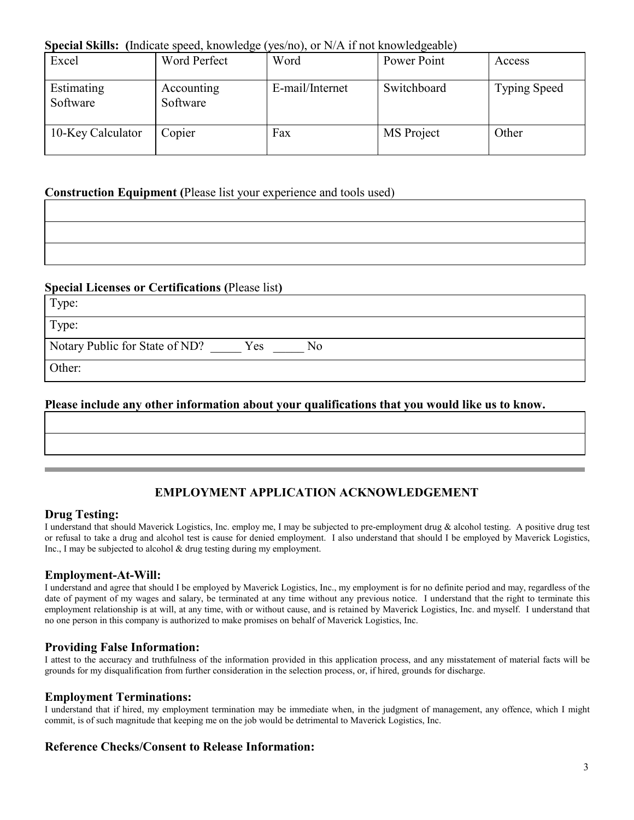# **Special Skills: (**Indicate speed, knowledge (yes/no), or N/A if not knowledgeable)

| Excel                  | Word Perfect           | Word            | Power Point | Access              |
|------------------------|------------------------|-----------------|-------------|---------------------|
| Estimating<br>Software | Accounting<br>Software | E-mail/Internet | Switchboard | <b>Typing Speed</b> |
| 10-Key Calculator      | Copier                 | Fax             | MS Project  | Other               |

## **Construction Equipment (**Please list your experience and tools used)

### **Special Licenses or Certifications (**Please list**)**

| Type:                                       |
|---------------------------------------------|
| Type:                                       |
| Notary Public for State of ND?<br>Yes<br>No |
| Other:                                      |

## **Please include any other information about your qualifications that you would like us to know.**

# **EMPLOYMENT APPLICATION ACKNOWLEDGEMENT**

#### **Drug Testing:**

I understand that should Maverick Logistics, Inc. employ me, I may be subjected to pre-employment drug & alcohol testing. A positive drug test or refusal to take a drug and alcohol test is cause for denied employment. I also understand that should I be employed by Maverick Logistics, Inc., I may be subjected to alcohol & drug testing during my employment.

### **Employment-At-Will:**

I understand and agree that should I be employed by Maverick Logistics, Inc., my employment is for no definite period and may, regardless of the date of payment of my wages and salary, be terminated at any time without any previous notice. I understand that the right to terminate this employment relationship is at will, at any time, with or without cause, and is retained by Maverick Logistics, Inc. and myself. I understand that no one person in this company is authorized to make promises on behalf of Maverick Logistics, Inc.

#### **Providing False Information:**

I attest to the accuracy and truthfulness of the information provided in this application process, and any misstatement of material facts will be grounds for my disqualification from further consideration in the selection process, or, if hired, grounds for discharge.

#### **Employment Terminations:**

I understand that if hired, my employment termination may be immediate when, in the judgment of management, any offence, which I might commit, is of such magnitude that keeping me on the job would be detrimental to Maverick Logistics, Inc.

### **Reference Checks/Consent to Release Information:**